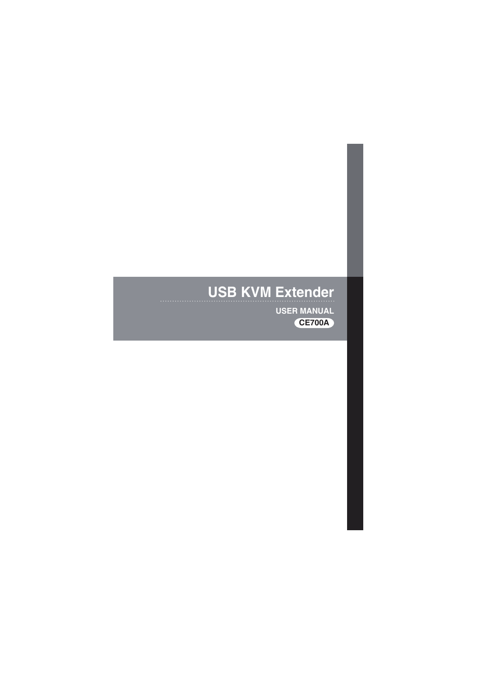# **USB KVM Extender**

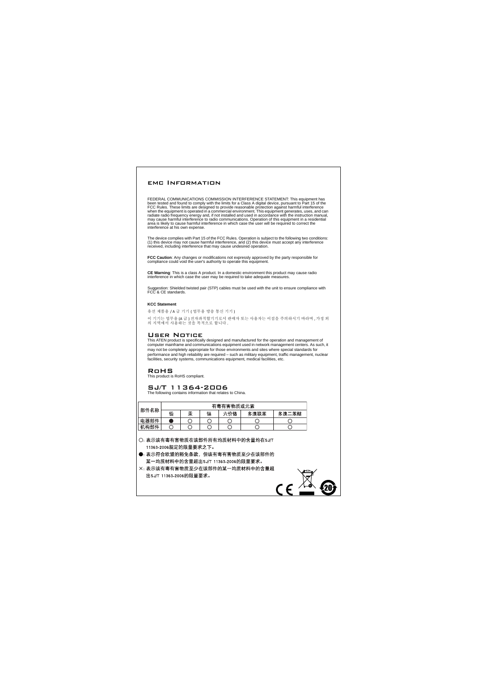#### emc Information

FEDERAL COMMUNICATIONS COMMISSION INTERFERENCE STATEMENT: This equipment has been tested and found to comply with the limits for a Class A digital device, pursuant to Part 15 of the FCC Rules. These limits are designed to provide reasonable protection against harmful interference when the equipment is operated in a commercial environment. This equipment generates, uses, and can radiate radio frequency energy and, if not installed and used in accordance with the instruction manual, may cause harmful interference to radio communications. Operation of this equipment in a residential area is likely to cause harmful interference in which case the user will be required to correct the interference at his own expense.

The device complies with Part 15 of the FCC Rules. Operation is subject to the following two conditions: (1) this device may not cause harmful interference, and (2) this device must accept any interference received, including interference that may cause undesired operation.

**FCC Caution**: Any changes or modifications not expressly approved by the party responsible for compliance could void the user's authority to operate this equipment.

**CE Warning**: This is a class A product. In a domestic environment this product may cause radio interference in which case the user may be required to take adequate measures.

Suggestion: Shielded twisted pair (STP) cables must be used with the unit to ensure compliance with FCC & CE standards.

#### **KCC Statement**

유선 제품용 / A 급 기기 ( 업무용 방송 통신 기기 )

이 기기는 업무용 (A 급 ) 전자파적합기기로서 판매자 또는 사용자는 이점을 주의하시기 바라며 , 가정 외 의 지역에서 사용하는 것을 목적으로 합니다 .

#### User Notice

This ATEN product is specifically designed and manufactured for the operation and management of computer mainframe and communications equipment used in network management centers. As such, it may not be completely appropriate for those environments and sites where special standards for performance and high reliability are required – such as military equipment, traffic management, nuclear facilities, security systems, communications equipment, medical facilities, etc.

 $C\epsilon$ 

#### RoHS

This product is RoHS compliant.

#### SJ/T 11364-2006

The following contains information that relates to China.

|      | 有毒有害物质或元素 |   |   |     |      |       |
|------|-----------|---|---|-----|------|-------|
| 部件名称 | 铅         | 汞 | 镉 | 六价铬 | 多溴联苯 | 多溴二苯醚 |
| 电器部件 |           |   |   |     |      |       |
| 机构部件 |           |   |   |     |      |       |

○: 表示该有毒有害物质在该部件所有均质材料中的含量均在SJ/T 11363-2006规定的限量要求之下。

●: 表示符合欧盟的豁免条款,但该有毒有害物质至少在该部件的 某一均质材料中的含量超出SJ/T 11363-2006的限量要求。

X: 表示该有毒有害物质至少在该部件的某一均质材料中的含量超 出SJ/T 11363-2006的限量要求。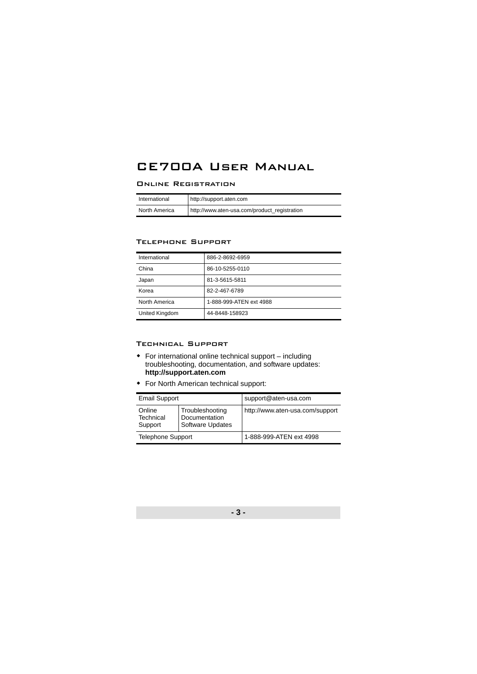# CE700A User Manual

#### Online Registration

| International | http://support.aten.com                      |
|---------------|----------------------------------------------|
| North America | http://www.aten-usa.com/product_registration |

#### Telephone Support

| International  | 886-2-8692-6959         |
|----------------|-------------------------|
| China          | 86-10-5255-0110         |
| Japan          | 81-3-5615-5811          |
| Korea          | 82-2-467-6789           |
| North America  | 1-888-999-ATEN ext 4988 |
| United Kingdom | 44-8448-158923          |

#### Technical Support

- For international online technical support including troubleshooting, documentation, and software updates: **http://support.aten.com**
- For North American technical support:

| <b>Email Support</b>           |                                                             | support@aten-usa.com            |  |
|--------------------------------|-------------------------------------------------------------|---------------------------------|--|
| Online<br>Technical<br>Support | Troubleshooting<br>Documentation<br><b>Software Updates</b> | http://www.aten-usa.com/support |  |
| <b>Telephone Support</b>       |                                                             | 1-888-999-ATEN ext 4998         |  |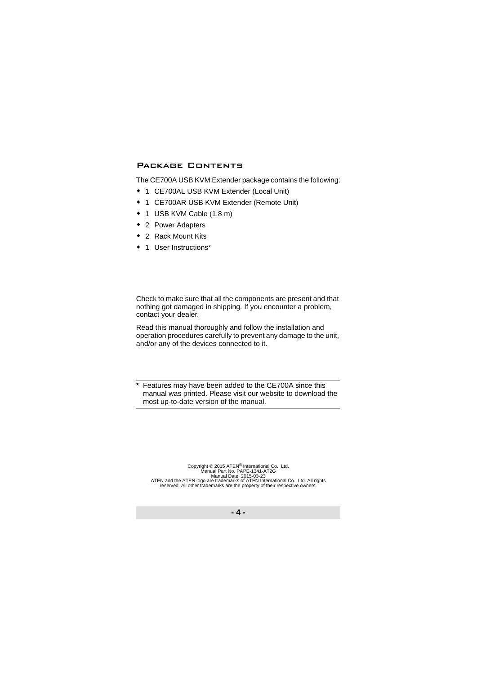# Package Contents

The CE700A USB KVM Extender package contains the following:

- 1 CE700AL USB KVM Extender (Local Unit)
- 1 CE700AR USB KVM Extender (Remote Unit)
- 1 USB KVM Cable (1.8 m)
- ◆ 2 Power Adapters
- ◆ 2 Rack Mount Kits
- ◆ 1 User Instructions\*

Check to make sure that all the components are present and that nothing got damaged in shipping. If you encounter a problem, contact your dealer.

Read this manual thoroughly and follow the installation and operation procedures carefully to prevent any damage to the unit, and/or any of the devices connected to it.

**\*** Features may have been added to the CE700A since this manual was printed. Please visit our website to download the most up-to-date version of the manual.

Copyright © 2015 ATEN<sup>®</sup> International Co., Ltd.<br>Manual Part No. PAPE-1341-AT2G Manual Date: 2015-03-23<br>ATEN and the ATEN logo are trademarks of ATEN International Co., Ltd. All rights reserved. All other trademarks are the property of their respective owners.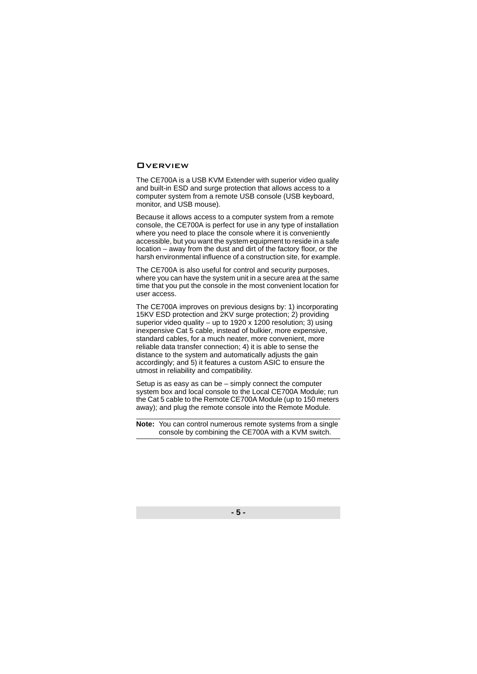## **OVERVIEW**

The CE700A is a USB KVM Extender with superior video quality and built-in ESD and surge protection that allows access to a computer system from a remote USB console (USB keyboard, monitor, and USB mouse).

Because it allows access to a computer system from a remote console, the CE700A is perfect for use in any type of installation where you need to place the console where it is conveniently accessible, but you want the system equipment to reside in a safe location – away from the dust and dirt of the factory floor, or the harsh environmental influence of a construction site, for example.

The CE700A is also useful for control and security purposes, where you can have the system unit in a secure area at the same time that you put the console in the most convenient location for user access.

The CE700A improves on previous designs by: 1) incorporating 15KV ESD protection and 2KV surge protection; 2) providing superior video quality – up to  $1920 \times 1200$  resolution; 3) using inexpensive Cat 5 cable, instead of bulkier, more expensive, standard cables, for a much neater, more convenient, more reliable data transfer connection; 4) it is able to sense the distance to the system and automatically adjusts the gain accordingly; and 5) it features a custom ASIC to ensure the utmost in reliability and compatibility.

Setup is as easy as can be – simply connect the computer system box and local console to the Local CE700A Module; run the Cat 5 cable to the Remote CE700A Module (up to 150 meters away); and plug the remote console into the Remote Module.

**Note:** You can control numerous remote systems from a single console by combining the CE700A with a KVM switch.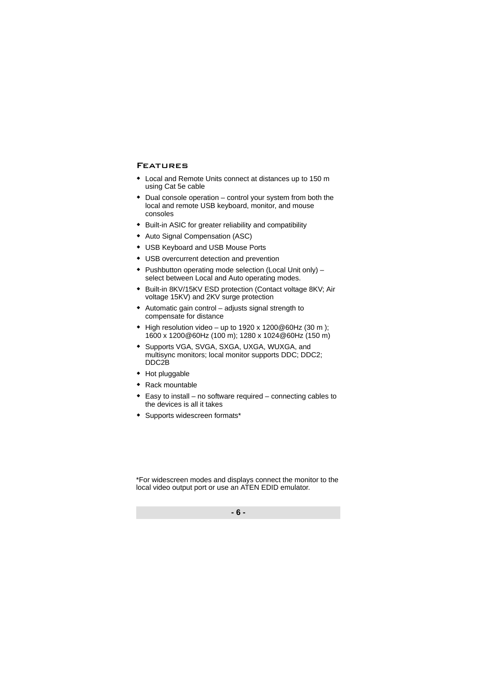# Features

- Local and Remote Units connect at distances up to 150 m using Cat 5e cable
- $\bullet$  Dual console operation control your system from both the local and remote USB keyboard, monitor, and mouse consoles
- Built-in ASIC for greater reliability and compatibility
- Auto Signal Compensation (ASC)
- USB Keyboard and USB Mouse Ports
- USB overcurrent detection and prevention
- Pushbutton operating mode selection (Local Unit only) select between Local and Auto operating modes.
- Built-in 8KV/15KV ESD protection (Contact voltage 8KV; Air voltage 15KV) and 2KV surge protection
- Automatic gain control adjusts signal strength to compensate for distance
- $\bullet$  High resolution video up to 1920 x 1200@60Hz (30 m); 1600 x 1200@60Hz (100 m); 1280 x 1024@60Hz (150 m)
- Supports VGA, SVGA, SXGA, UXGA, WUXGA, and multisync monitors; local monitor supports DDC; DDC2; DDC2B
- Hot pluggable
- Rack mountable
- Easy to install no software required connecting cables to the devices is all it takes
- Supports widescreen formats\*

\*For widescreen modes and displays connect the monitor to the local video output port or use an ATEN EDID emulator.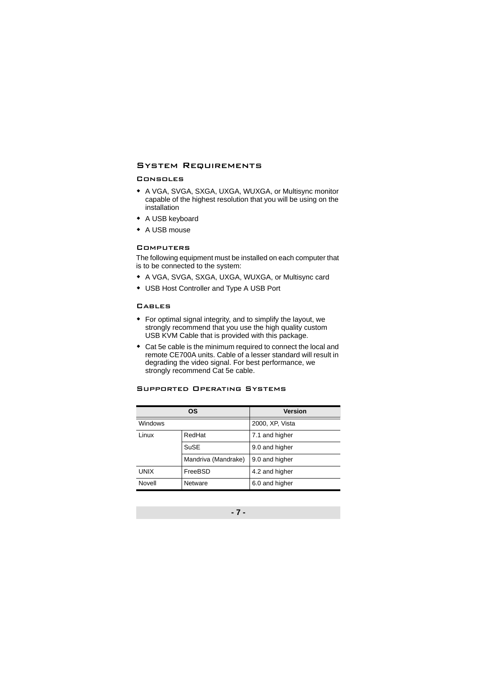# System Requirements

#### Consoles

- A VGA, SVGA, SXGA, UXGA, WUXGA, or Multisync monitor capable of the highest resolution that you will be using on the installation
- A USB keyboard
- ◆ A USB mouse

#### **COMPUTERS**

The following equipment must be installed on each computer that is to be connected to the system:

- A VGA, SVGA, SXGA, UXGA, WUXGA, or Multisync card
- USB Host Controller and Type A USB Port

#### CABLES<sup></sup>

- For optimal signal integrity, and to simplify the layout, we strongly recommend that you use the high quality custom USB KVM Cable that is provided with this package.
- Cat 5e cable is the minimum required to connect the local and remote CE700A units. Cable of a lesser standard will result in degrading the video signal. For best performance, we strongly recommend Cat 5e cable.

|             | <b>OS</b>           | <b>Version</b>  |
|-------------|---------------------|-----------------|
| Windows     |                     | 2000, XP, Vista |
| Linux       | RedHat              | 7.1 and higher  |
|             | SuSE                | 9.0 and higher  |
|             | Mandriva (Mandrake) | 9.0 and higher  |
| <b>UNIX</b> | FreeBSD             | 4.2 and higher  |
| Novell      | Netware             | 6.0 and higher  |

#### Supported Operating Systems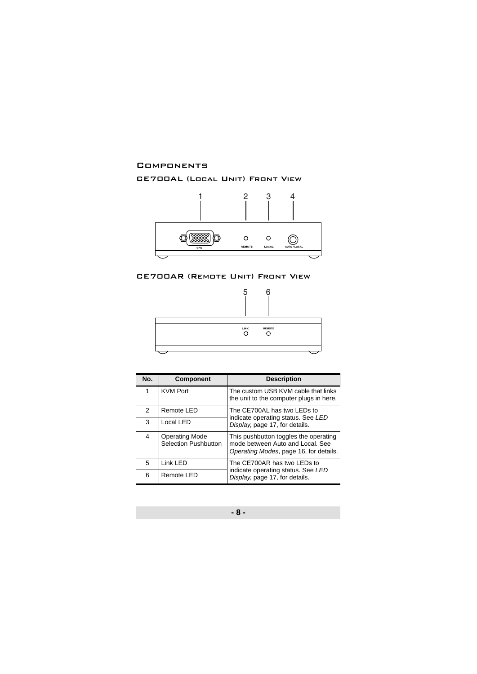### **COMPONENTS**

# CE700AL (Local Unit) Front View



# CE700AR (Remote Unit) Front View



| No. | <b>Component</b>                                     | <b>Description</b>                                                                                                  |  |
|-----|------------------------------------------------------|---------------------------------------------------------------------------------------------------------------------|--|
| 1   | <b>KVM Port</b>                                      | The custom USB KVM cable that links<br>the unit to the computer plugs in here.                                      |  |
| 2   | Remote LED                                           | The CE700AL has two LEDs to<br>indicate operating status. See LED<br>Display, page 17, for details.                 |  |
| 3   | Local LED                                            |                                                                                                                     |  |
| 4   | <b>Operating Mode</b><br><b>Selection Pushbutton</b> | This pushbutton toggles the operating<br>mode between Auto and Local. See<br>Operating Modes, page 16, for details. |  |
| 5   | Link LED                                             | The CE700AR has two LEDs to                                                                                         |  |
| 6   | Remote LED                                           | indicate operating status. See LED<br>Display, page 17, for details.                                                |  |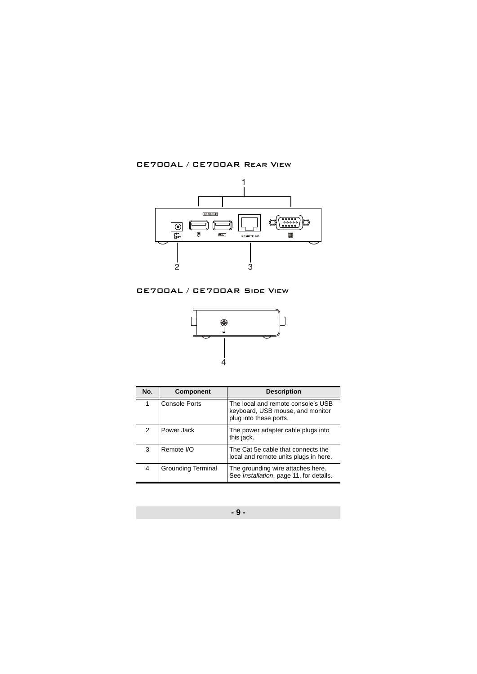CE700AL / CE700AR Rear View



# CE700AL / CE700AR Side View



| No. | <b>Component</b>          | <b>Description</b>                                                                               |
|-----|---------------------------|--------------------------------------------------------------------------------------------------|
| 1   | Console Ports             | The local and remote console's USB<br>keyboard, USB mouse, and monitor<br>plug into these ports. |
| 2   | Power Jack                | The power adapter cable plugs into<br>this jack.                                                 |
| 3   | Remote I/O                | The Cat 5e cable that connects the<br>local and remote units plugs in here.                      |
| 4   | <b>Grounding Terminal</b> | The grounding wire attaches here.<br>See Installation, page 11, for details.                     |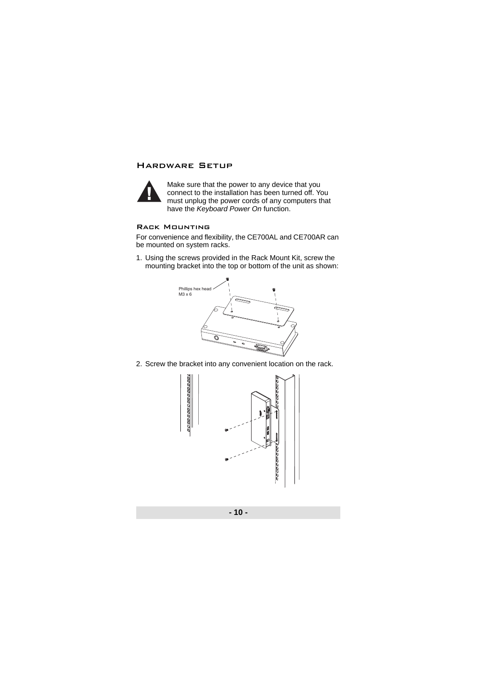# Hardware Setup



Make sure that the power to any device that you connect to the installation has been turned off. You must unplug the power cords of any computers that have the *Keyboard Power On* function.

#### Rack Mounting

For convenience and flexibility, the CE700AL and CE700AR can be mounted on system racks.

1. Using the screws provided in the Rack Mount Kit, screw the mounting bracket into the top or bottom of the unit as shown:



2. Screw the bracket into any convenient location on the rack.

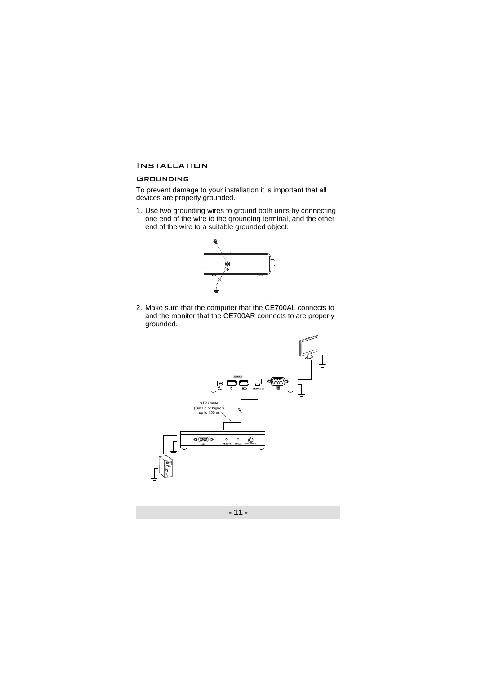# <span id="page-10-0"></span>Installation

#### **GROUNDING**

To prevent damage to your installation it is important that all devices are properly grounded.

1. Use two grounding wires to ground both units by connecting one end of the wire to the grounding terminal, and the other end of the wire to a suitable grounded object.



2. Make sure that the computer that the CE700AL connects to and the monitor that the CE700AR connects to are properly grounded.

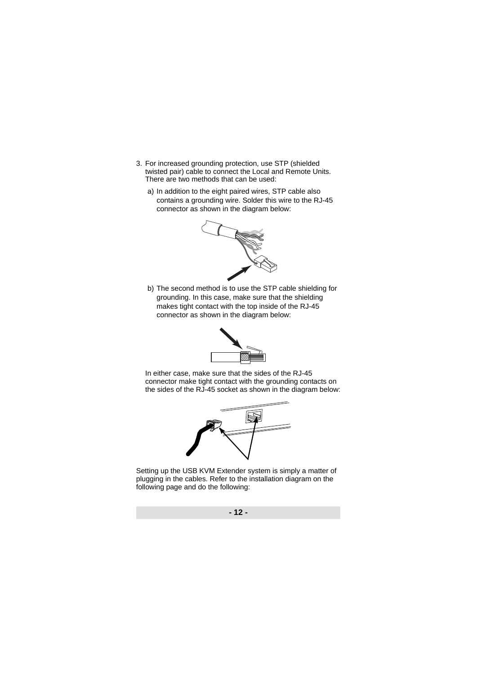- 3. For increased grounding protection, use STP (shielded twisted pair) cable to connect the Local and Remote Units. There are two methods that can be used:
	- a) In addition to the eight paired wires, STP cable also contains a grounding wire. Solder this wire to the RJ-45 connector as shown in the diagram below:



b) The second method is to use the STP cable shielding for grounding. In this case, make sure that the shielding makes tight contact with the top inside of the RJ-45 connector as shown in the diagram below:



In either case, make sure that the sides of the RJ-45 connector make tight contact with the grounding contacts on the sides of the RJ-45 socket as shown in the diagram below:



Setting up the USB KVM Extender system is simply a matter of plugging in the cables. Refer to the installation diagram on the following page and do the following: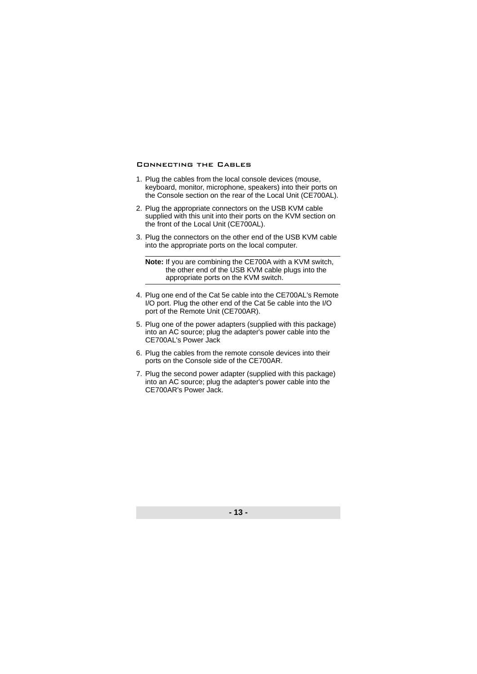#### Connecting the Cables

- 1. Plug the cables from the local console devices (mouse, keyboard, monitor, microphone, speakers) into their ports on the Console section on the rear of the Local Unit (CE700AL).
- 2. Plug the appropriate connectors on the USB KVM cable supplied with this unit into their ports on the KVM section on the front of the Local Unit (CE700AL).
- 3. Plug the connectors on the other end of the USB KVM cable into the appropriate ports on the local computer.

**Note:** If you are combining the CE700A with a KVM switch, the other end of the USB KVM cable plugs into the appropriate ports on the KVM switch.

- 4. Plug one end of the Cat 5e cable into the CE700AL's Remote I/O port. Plug the other end of the Cat 5e cable into the I/O port of the Remote Unit (CE700AR).
- 5. Plug one of the power adapters (supplied with this package) into an AC source; plug the adapter's power cable into the CE700AL's Power Jack
- 6. Plug the cables from the remote console devices into their ports on the Console side of the CE700AR.
- 7. Plug the second power adapter (supplied with this package) into an AC source; plug the adapter's power cable into the CE700AR's Power Jack.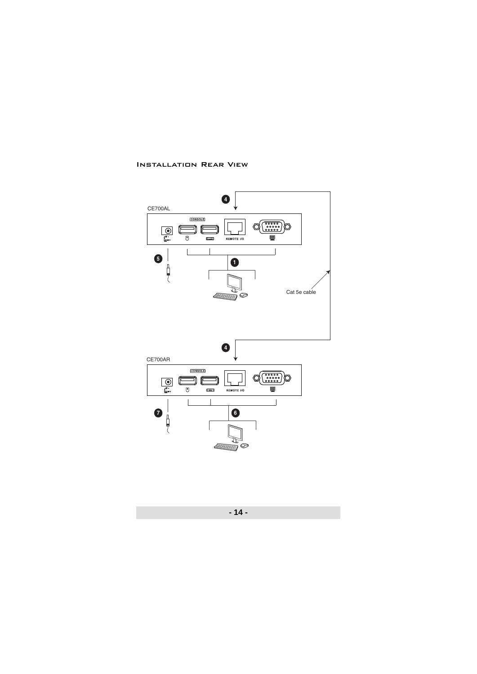#### Installation Rear View

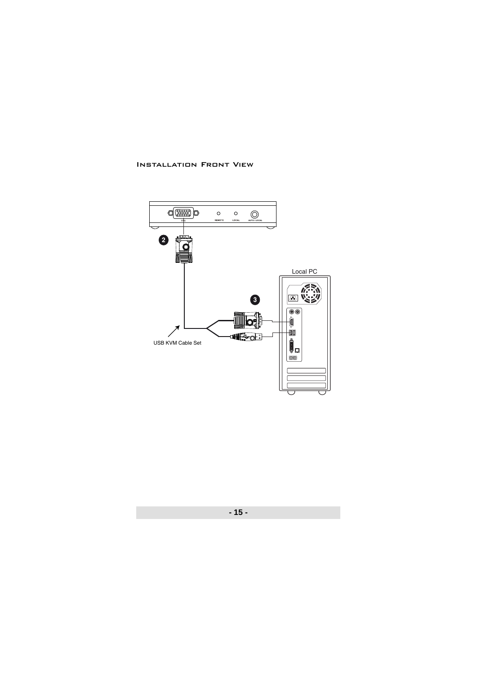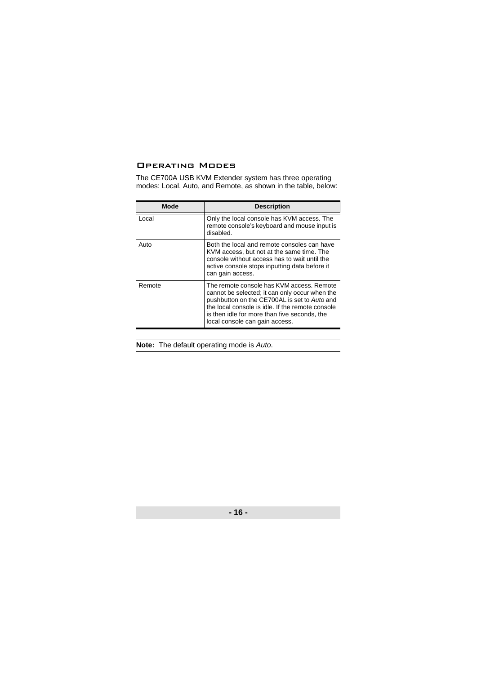# <span id="page-15-0"></span>Operating Modes

The CE700A USB KVM Extender system has three operating modes: Local, Auto, and Remote, as shown in the table, below:

| Mode   | <b>Description</b>                                                                                                                                                                                                                                                                |
|--------|-----------------------------------------------------------------------------------------------------------------------------------------------------------------------------------------------------------------------------------------------------------------------------------|
| Local  | Only the local console has KVM access. The<br>remote console's keyboard and mouse input is<br>disabled.                                                                                                                                                                           |
| Auto   | Both the local and remote consoles can have<br>KVM access, but not at the same time. The<br>console without access has to wait until the<br>active console stops inputting data before it<br>can gain access.                                                                     |
| Remote | The remote console has KVM access. Remote<br>cannot be selected; it can only occur when the<br>pushbutton on the CE700AL is set to Auto and<br>the local console is idle. If the remote console<br>is then idle for more than five seconds, the<br>local console can gain access. |

**Note:** The default operating mode is *Auto*.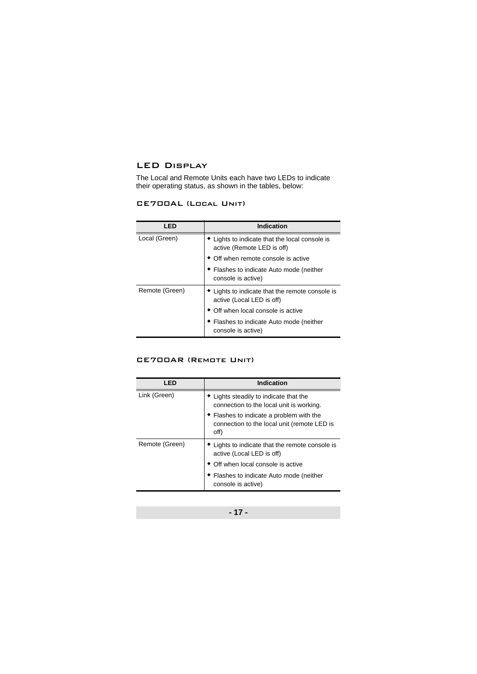# <span id="page-16-0"></span>LED Display

The Local and Remote Units each have two LEDs to indicate their operating status, as shown in the tables, below:

## CE700AL (Local Unit)

| LED            | <b>Indication</b>                                                            |
|----------------|------------------------------------------------------------------------------|
| Local (Green)  | • Lights to indicate that the local console is<br>active (Remote LED is off) |
|                | • Off when remote console is active                                          |
|                | • Flashes to indicate Auto mode (neither<br>console is active)               |
| Remote (Green) | ◆ Lights to indicate that the remote console is<br>active (Local LED is off) |
|                | • Off when local console is active                                           |
|                | ◆ Flashes to indicate Auto mode (neither<br>console is active)               |

### CE700AR (Remote Unit)

| LED            | <b>Indication</b>                                                                               |
|----------------|-------------------------------------------------------------------------------------------------|
| Link (Green)   | • Lights steadily to indicate that the<br>connection to the local unit is working.              |
|                | • Flashes to indicate a problem with the<br>connection to the local unit (remote LED is<br>off) |
| Remote (Green) | • Lights to indicate that the remote console is<br>active (Local LED is off)                    |
|                | • Off when local console is active                                                              |
|                | • Flashes to indicate Auto mode (neither<br>console is active)                                  |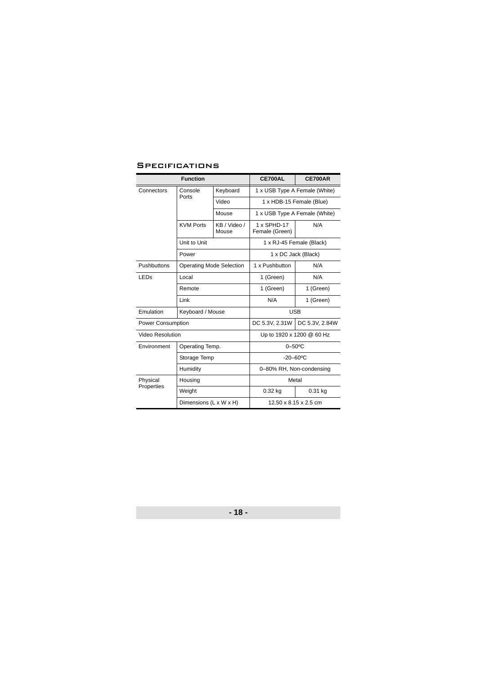# **SPECIFICATIONS**

|                        | <b>Function</b>                 | CE700AL               | CE700AR                       |                |
|------------------------|---------------------------------|-----------------------|-------------------------------|----------------|
| Connectors             | Console                         | Keyboard              | 1 x USB Type A Female (White) |                |
|                        | Ports                           | Video                 | 1 x HDB-15 Female (Blue)      |                |
|                        |                                 | Mouse                 | 1 x USB Type A Female (White) |                |
|                        | <b>KVM Ports</b>                | KB / Video /<br>Mouse | 1 x SPHD-17<br>Female (Green) | N/A            |
|                        | Unit to Unit                    |                       | 1 x RJ-45 Female (Black)      |                |
|                        | Power                           |                       | 1 x DC Jack (Black)           |                |
| Pushbuttons            | <b>Operating Mode Selection</b> |                       | 1 x Pushbutton                | N/A            |
| LED <sub>S</sub>       | Local                           |                       | 1 (Green)                     | N/A            |
|                        | Remote                          |                       | 1 (Green)                     | 1 (Green)      |
|                        | Link                            |                       | N/A                           | 1 (Green)      |
| Emulation              | Keyboard / Mouse                |                       | <b>USB</b>                    |                |
| Power Consumption      |                                 |                       | DC 5.3V, 2.31W                | DC 5.3V, 2.84W |
| Video Resolution       |                                 |                       | Up to 1920 x 1200 @ 60 Hz     |                |
| Environment            | Operating Temp.                 |                       | $0 - 50$ °C                   |                |
|                        | Storage Temp                    |                       | $-20 - 60$ <sup>o</sup> C     |                |
|                        | Humidity                        |                       | 0-80% RH, Non-condensing      |                |
| Physical<br>Properties | Housing                         |                       | Metal                         |                |
|                        | Weight                          |                       | $0.32$ kg                     | 0.31 kg        |
|                        | Dimensions (L x W x H)          |                       | 12.50 x 8.15 x 2.5 cm         |                |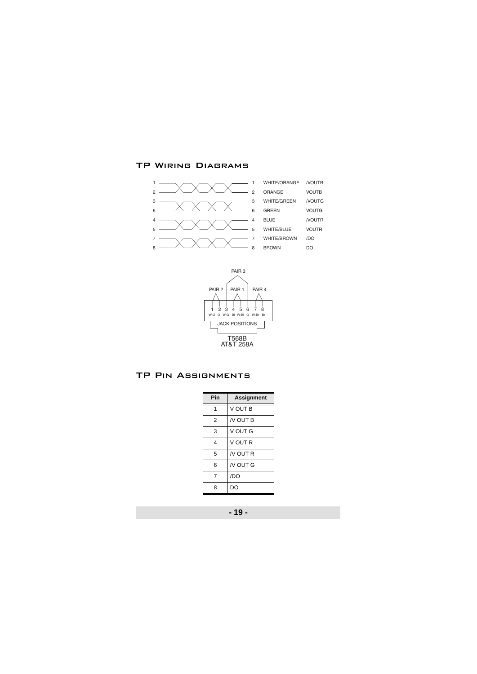# TP Wiring Diagrams





# TP Pin Assignments

| Pin | Assignment     |
|-----|----------------|
| 1   | V OUT B        |
| 2   | <b>N OUT B</b> |
| 3   | V OUT G        |
| 4   | V OUT R        |
| 5   | $N$ OUT R      |
| 6   | $N$ OUT G      |
| 7   | /DO            |
| 8   | DΟ             |